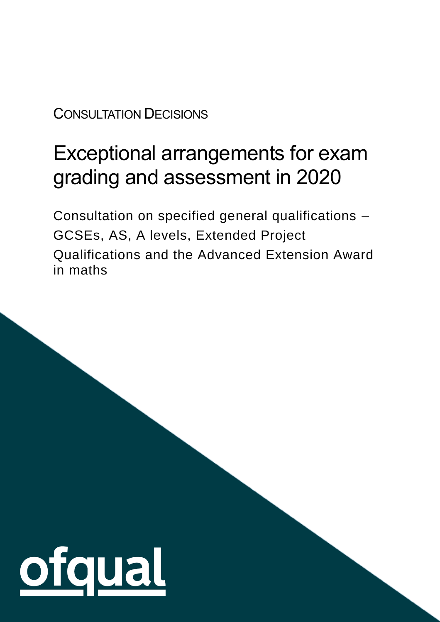CONSULTATION DECISIONS

# Exceptional arrangements for exam grading and assessment in 2020

Consultation on specified general qualifications – GCSEs, AS, A levels, Extended Project Qualifications and the Advanced Extension Award in maths

1

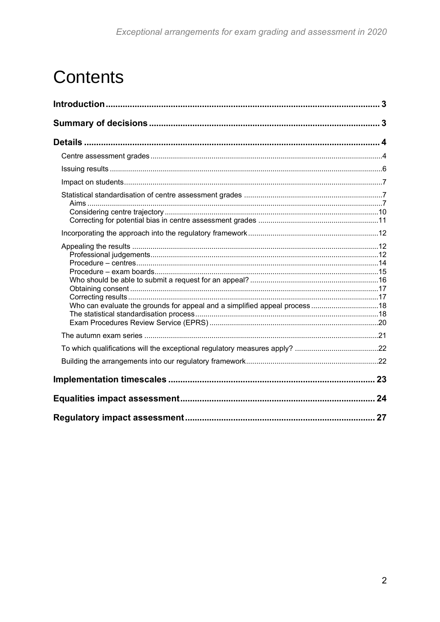# **Contents**

| Who can evaluate the grounds for appeal and a simplified appeal process18 |    |
|---------------------------------------------------------------------------|----|
|                                                                           |    |
|                                                                           |    |
|                                                                           |    |
|                                                                           |    |
|                                                                           | 24 |
|                                                                           | 27 |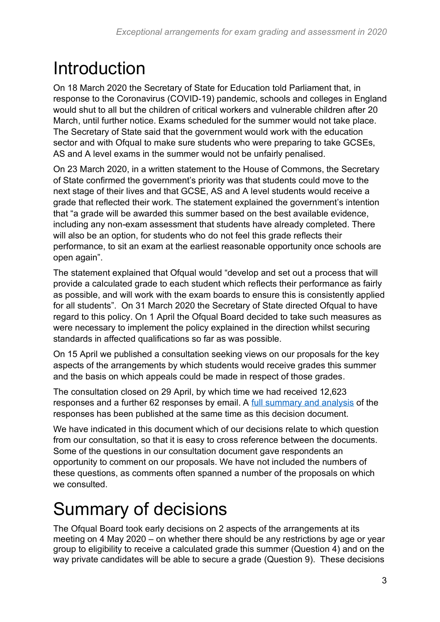# <span id="page-2-0"></span>Introduction

On 18 March 2020 the Secretary of State for Education told Parliament that, in response to the Coronavirus (COVID-19) pandemic, schools and colleges in England would shut to all but the children of critical workers and vulnerable children after 20 March, until further notice. Exams scheduled for the summer would not take place. The Secretary of State said that the government would work with the education sector and with Ofqual to make sure students who were preparing to take GCSEs, AS and A level exams in the summer would not be unfairly penalised.

On 23 March 2020, in a written statement to the House of Commons, the Secretary of State confirmed the government's priority was that students could move to the next stage of their lives and that GCSE, AS and A level students would receive a grade that reflected their work. The statement explained the government's intention that "a grade will be awarded this summer based on the best available evidence, including any non-exam assessment that students have already completed. There will also be an option, for students who do not feel this grade reflects their performance, to sit an exam at the earliest reasonable opportunity once schools are open again".

The statement explained that Ofqual would "develop and set out a process that will provide a calculated grade to each student which reflects their performance as fairly as possible, and will work with the exam boards to ensure this is consistently applied for all students". On 31 March 2020 the Secretary of State directed Ofqual to have regard to this policy. On 1 April the Ofqual Board decided to take such measures as were necessary to implement the policy explained in the direction whilst securing standards in affected qualifications so far as was possible.

On 15 April we published a consultation seeking views on our proposals for the key aspects of the arrangements by which students would receive grades this summer and the basis on which appeals could be made in respect of those grades.

The consultation closed on 29 April, by which time we had received 12,623 responses and a further 62 responses by email. A [full summary and analysis](https://www.gov.uk/government/consultations/exceptional-arrangements-for-exam-grading-and-assessment-in-2020) of the responses has been published at the same time as this decision document.

We have indicated in this document which of our decisions relate to which question from our consultation, so that it is easy to cross reference between the documents. Some of the questions in our consultation document gave respondents an opportunity to comment on our proposals. We have not included the numbers of these questions, as comments often spanned a number of the proposals on which we consulted.

# <span id="page-2-1"></span>Summary of decisions

The Ofqual Board took early decisions on 2 aspects of the arrangements at its meeting on 4 May 2020 – on whether there should be any restrictions by age or year group to eligibility to receive a calculated grade this summer (Question 4) and on the way private candidates will be able to secure a grade (Question 9). These decisions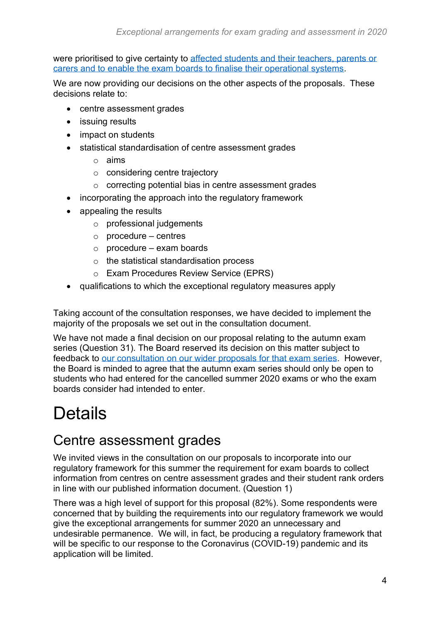were prioritised to give certainty to affected students and their teachers, parents or carers [and to enable the exam boards to finalise their operational systems.](https://www.gov.uk/government/publications/awarding-qualifications-in-summer-2020)

We are now providing our decisions on the other aspects of the proposals. These decisions relate to:

- centre assessment grades
- issuing results
- impact on students
- statistical standardisation of centre assessment grades
	- o aims
	- o considering centre trajectory
	- o correcting potential bias in centre assessment grades
- incorporating the approach into the regulatory framework
- appealing the results
	- o professional judgements
	- $\circ$  procedure centres
	- $\circ$  procedure exam boards
	- o the statistical standardisation process
	- o Exam Procedures Review Service (EPRS)
- qualifications to which the exceptional regulatory measures apply

Taking account of the consultation responses, we have decided to implement the majority of the proposals we set out in the consultation document.

We have not made a final decision on our proposal relating to the autumn exam series (Question 31)*.* The Board reserved its decision on this matter subject to feedback to [our consultation on our wider proposals for that exam series.](https://www.gov.uk/government/consultations/consultation-on-an-additional-gcse-as-and-a-level-exam-series-in-autumn-2020) However, the Board is minded to agree that the autumn exam series should only be open to students who had entered for the cancelled summer 2020 exams or who the exam boards consider had intended to enter.

## <span id="page-3-0"></span>Details

### <span id="page-3-1"></span>Centre assessment grades

We invited views in the consultation on our proposals to incorporate into our regulatory framework for this summer the requirement for exam boards to collect information from centres on centre assessment grades and their student rank orders in line with our published information document. (Question 1)

There was a high level of support for this proposal (82%). Some respondents were concerned that by building the requirements into our regulatory framework we would give the exceptional arrangements for summer 2020 an unnecessary and undesirable permanence. We will, in fact, be producing a regulatory framework that will be specific to our response to the Coronavirus (COVID-19) pandemic and its application will be limited.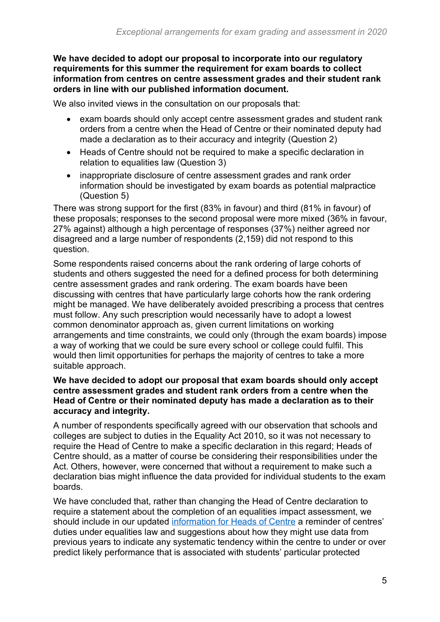**We have decided to adopt our proposal to incorporate into our regulatory requirements for this summer the requirement for exam boards to collect information from centres on centre assessment grades and their student rank orders in line with our published information document.**

We also invited views in the consultation on our proposals that:

- exam boards should only accept centre assessment grades and student rank orders from a centre when the Head of Centre or their nominated deputy had made a declaration as to their accuracy and integrity (Question 2)
- Heads of Centre should not be required to make a specific declaration in relation to equalities law (Question 3)
- inappropriate disclosure of centre assessment grades and rank order information should be investigated by exam boards as potential malpractice (Question 5)

There was strong support for the first (83% in favour) and third (81% in favour) of these proposals; responses to the second proposal were more mixed (36% in favour, 27% against) although a high percentage of responses (37%) neither agreed nor disagreed and a large number of respondents (2,159) did not respond to this question.

Some respondents raised concerns about the rank ordering of large cohorts of students and others suggested the need for a defined process for both determining centre assessment grades and rank ordering. The exam boards have been discussing with centres that have particularly large cohorts how the rank ordering might be managed. We have deliberately avoided prescribing a process that centres must follow. Any such prescription would necessarily have to adopt a lowest common denominator approach as, given current limitations on working arrangements and time constraints, we could only (through the exam boards) impose a way of working that we could be sure every school or college could fulfil. This would then limit opportunities for perhaps the majority of centres to take a more suitable approach.

#### **We have decided to adopt our proposal that exam boards should only accept centre assessment grades and student rank orders from a centre when the Head of Centre or their nominated deputy has made a declaration as to their accuracy and integrity.**

A number of respondents specifically agreed with our observation that schools and colleges are subject to duties in the Equality Act 2010, so it was not necessary to require the Head of Centre to make a specific declaration in this regard; Heads of Centre should, as a matter of course be considering their responsibilities under the Act. Others, however, were concerned that without a requirement to make such a declaration bias might influence the data provided for individual students to the exam boards.

We have concluded that, rather than changing the Head of Centre declaration to require a statement about the completion of an equalities impact assessment, we should include in our updated [information for Heads of Centre](https://www.gov.uk/government/publications/awarding-qualifications-in-summer-2020) a reminder of centres' duties under equalities law and suggestions about how they might use data from previous years to indicate any systematic tendency within the centre to under or over predict likely performance that is associated with students' particular protected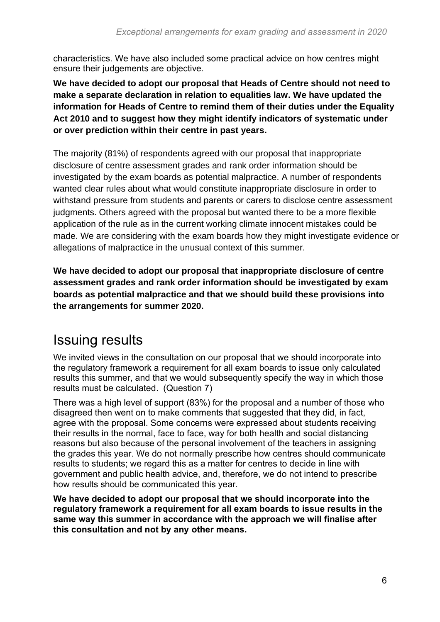characteristics. We have also included some practical advice on how centres might ensure their judgements are objective.

**We have decided to adopt our proposal that Heads of Centre should not need to make a separate declaration in relation to equalities law. We have updated the information for Heads of Centre to remind them of their duties under the Equality Act 2010 and to suggest how they might identify indicators of systematic under or over prediction within their centre in past years.**

The majority (81%) of respondents agreed with our proposal that inappropriate disclosure of centre assessment grades and rank order information should be investigated by the exam boards as potential malpractice. A number of respondents wanted clear rules about what would constitute inappropriate disclosure in order to withstand pressure from students and parents or carers to disclose centre assessment judgments. Others agreed with the proposal but wanted there to be a more flexible application of the rule as in the current working climate innocent mistakes could be made. We are considering with the exam boards how they might investigate evidence or allegations of malpractice in the unusual context of this summer.

**We have decided to adopt our proposal that inappropriate disclosure of centre assessment grades and rank order information should be investigated by exam boards as potential malpractice and that we should build these provisions into the arrangements for summer 2020.**

### <span id="page-5-0"></span>Issuing results

We invited views in the consultation on our proposal that we should incorporate into the regulatory framework a requirement for all exam boards to issue only calculated results this summer, and that we would subsequently specify the way in which those results must be calculated. (Question 7)

There was a high level of support (83%) for the proposal and a number of those who disagreed then went on to make comments that suggested that they did, in fact, agree with the proposal. Some concerns were expressed about students receiving their results in the normal, face to face, way for both health and social distancing reasons but also because of the personal involvement of the teachers in assigning the grades this year. We do not normally prescribe how centres should communicate results to students; we regard this as a matter for centres to decide in line with government and public health advice, and, therefore, we do not intend to prescribe how results should be communicated this year.

**We have decided to adopt our proposal that we should incorporate into the regulatory framework a requirement for all exam boards to issue results in the same way this summer in accordance with the approach we will finalise after this consultation and not by any other means.**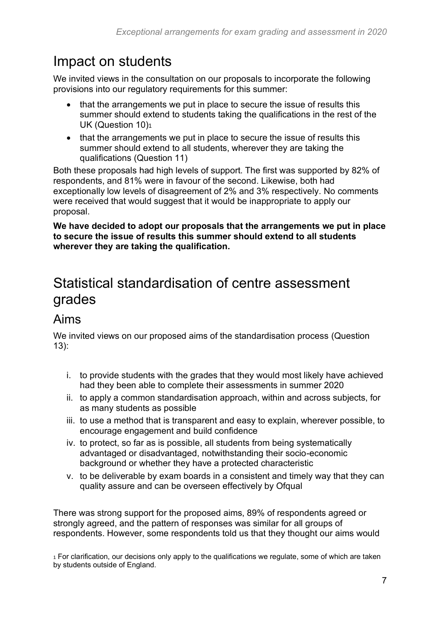## <span id="page-6-0"></span>Impact on students

We invited views in the consultation on our proposals to incorporate the following provisions into our regulatory requirements for this summer:

- that the arrangements we put in place to secure the issue of results this summer should extend to students taking the qualifications in the rest of the UK (Question 10)<sup>1</sup>
- that the arrangements we put in place to secure the issue of results this summer should extend to all students, wherever they are taking the qualifications (Question 11)

Both these proposals had high levels of support. The first was supported by 82% of respondents, and 81% were in favour of the second. Likewise, both had exceptionally low levels of disagreement of 2% and 3% respectively. No comments were received that would suggest that it would be inappropriate to apply our proposal.

**We have decided to adopt our proposals that the arrangements we put in place to secure the issue of results this summer should extend to all students wherever they are taking the qualification.**

## <span id="page-6-1"></span>Statistical standardisation of centre assessment grades

### <span id="page-6-2"></span>Aims

We invited views on our proposed aims of the standardisation process (Question 13):

- i. to provide students with the grades that they would most likely have achieved had they been able to complete their assessments in summer 2020
- ii. to apply a common standardisation approach, within and across subjects, for as many students as possible
- iii. to use a method that is transparent and easy to explain, wherever possible, to encourage engagement and build confidence
- iv. to protect, so far as is possible, all students from being systematically advantaged or disadvantaged, notwithstanding their socio-economic background or whether they have a protected characteristic
- v. to be deliverable by exam boards in a consistent and timely way that they can quality assure and can be overseen effectively by Ofqual

There was strong support for the proposed aims, 89% of respondents agreed or strongly agreed, and the pattern of responses was similar for all groups of respondents. However, some respondents told us that they thought our aims would

<sup>1</sup> For clarification, our decisions only apply to the qualifications we regulate, some of which are taken by students outside of England.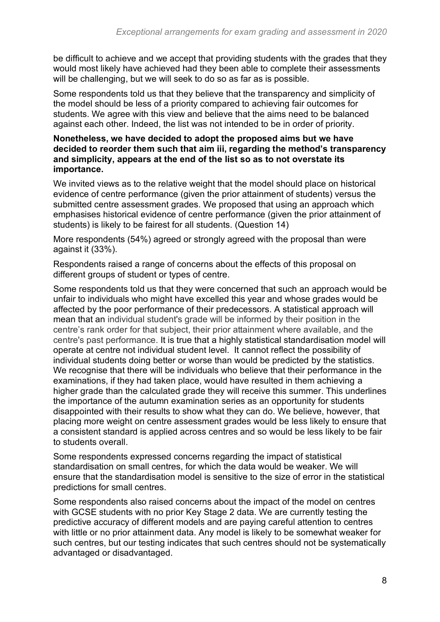be difficult to achieve and we accept that providing students with the grades that they would most likely have achieved had they been able to complete their assessments will be challenging, but we will seek to do so as far as is possible.

Some respondents told us that they believe that the transparency and simplicity of the model should be less of a priority compared to achieving fair outcomes for students. We agree with this view and believe that the aims need to be balanced against each other. Indeed, the list was not intended to be in order of priority.

#### **Nonetheless, we have decided to adopt the proposed aims but we have decided to reorder them such that aim iii, regarding the method's transparency and simplicity, appears at the end of the list so as to not overstate its importance.**

We invited views as to the relative weight that the model should place on historical evidence of centre performance (given the prior attainment of students) versus the submitted centre assessment grades. We proposed that using an approach which emphasises historical evidence of centre performance (given the prior attainment of students) is likely to be fairest for all students. (Question 14)

More respondents (54%) agreed or strongly agreed with the proposal than were against it (33%).

Respondents raised a range of concerns about the effects of this proposal on different groups of student or types of centre.

Some respondents told us that they were concerned that such an approach would be unfair to individuals who might have excelled this year and whose grades would be affected by the poor performance of their predecessors. A statistical approach will mean that an individual student's grade will be informed by their position in the centre's rank order for that subject, their prior attainment where available, and the centre's past performance. It is true that a highly statistical standardisation model will operate at centre not individual student level. It cannot reflect the possibility of individual students doing better or worse than would be predicted by the statistics. We recognise that there will be individuals who believe that their performance in the examinations, if they had taken place, would have resulted in them achieving a higher grade than the calculated grade they will receive this summer. This underlines the importance of the autumn examination series as an opportunity for students disappointed with their results to show what they can do. We believe, however, that placing more weight on centre assessment grades would be less likely to ensure that a consistent standard is applied across centres and so would be less likely to be fair to students overall.

Some respondents expressed concerns regarding the impact of statistical standardisation on small centres, for which the data would be weaker. We will ensure that the standardisation model is sensitive to the size of error in the statistical predictions for small centres.

Some respondents also raised concerns about the impact of the model on centres with GCSE students with no prior Key Stage 2 data. We are currently testing the predictive accuracy of different models and are paying careful attention to centres with little or no prior attainment data. Any model is likely to be somewhat weaker for such centres, but our testing indicates that such centres should not be systematically advantaged or disadvantaged.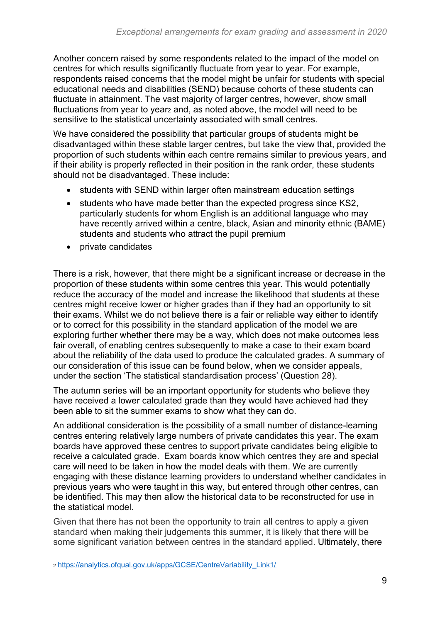Another concern raised by some respondents related to the impact of the model on centres for which results significantly fluctuate from year to year. For example, respondents raised concerns that the model might be unfair for students with special educational needs and disabilities (SEND) because cohorts of these students can fluctuate in attainment. The vast majority of larger centres, however, show small fluctuations from year to year<sub>2</sub> and, as noted above, the model will need to be sensitive to the statistical uncertainty associated with small centres.

We have considered the possibility that particular groups of students might be disadvantaged within these stable larger centres, but take the view that, provided the proportion of such students within each centre remains similar to previous years, and if their ability is properly reflected in their position in the rank order, these students should not be disadvantaged. These include:

- students with SEND within larger often mainstream education settings
- students who have made better than the expected progress since KS2, particularly students for whom English is an additional language who may have recently arrived within a centre, black, Asian and minority ethnic (BAME) students and students who attract the pupil premium
- private candidates

There is a risk, however, that there might be a significant increase or decrease in the proportion of these students within some centres this year. This would potentially reduce the accuracy of the model and increase the likelihood that students at these centres might receive lower or higher grades than if they had an opportunity to sit their exams. Whilst we do not believe there is a fair or reliable way either to identify or to correct for this possibility in the standard application of the model we are exploring further whether there may be a way, which does not make outcomes less fair overall, of enabling centres subsequently to make a case to their exam board about the reliability of the data used to produce the calculated grades. A summary of our consideration of this issue can be found below, when we consider appeals, under the section 'The statistical standardisation process' (Question 28).

The autumn series will be an important opportunity for students who believe they have received a lower calculated grade than they would have achieved had they been able to sit the summer exams to show what they can do.

An additional consideration is the possibility of a small number of distance-learning centres entering relatively large numbers of private candidates this year. The exam boards have approved these centres to support private candidates being eligible to receive a calculated grade. Exam boards know which centres they are and special care will need to be taken in how the model deals with them. We are currently engaging with these distance learning providers to understand whether candidates in previous years who were taught in this way, but entered through other centres, can be identified. This may then allow the historical data to be reconstructed for use in the statistical model.

Given that there has not been the opportunity to train all centres to apply a given standard when making their judgements this summer, it is likely that there will be some significant variation between centres in the standard applied. Ultimately, there

<sup>2</sup> [https://analytics.ofqual.gov.uk/apps/GCSE/CentreVariability\\_Link1/](https://analytics.ofqual.gov.uk/apps/GCSE/CentreVariability_Link1/)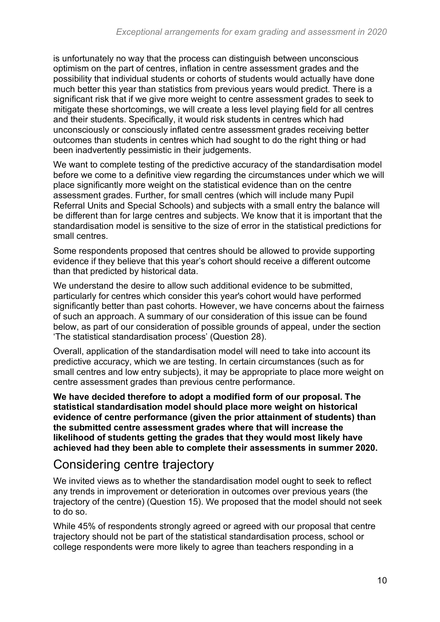is unfortunately no way that the process can distinguish between unconscious optimism on the part of centres, inflation in centre assessment grades and the possibility that individual students or cohorts of students would actually have done much better this year than statistics from previous years would predict. There is a significant risk that if we give more weight to centre assessment grades to seek to mitigate these shortcomings, we will create a less level playing field for all centres and their students. Specifically, it would risk students in centres which had unconsciously or consciously inflated centre assessment grades receiving better outcomes than students in centres which had sought to do the right thing or had been inadvertently pessimistic in their judgements.

We want to complete testing of the predictive accuracy of the standardisation model before we come to a definitive view regarding the circumstances under which we will place significantly more weight on the statistical evidence than on the centre assessment grades. Further, for small centres (which will include many Pupil Referral Units and Special Schools) and subjects with a small entry the balance will be different than for large centres and subjects. We know that it is important that the standardisation model is sensitive to the size of error in the statistical predictions for small centres.

Some respondents proposed that centres should be allowed to provide supporting evidence if they believe that this year's cohort should receive a different outcome than that predicted by historical data.

We understand the desire to allow such additional evidence to be submitted, particularly for centres which consider this year's cohort would have performed significantly better than past cohorts. However, we have concerns about the fairness of such an approach. A summary of our consideration of this issue can be found below, as part of our consideration of possible grounds of appeal, under the section 'The statistical standardisation process' (Question 28).

Overall, application of the standardisation model will need to take into account its predictive accuracy, which we are testing. In certain circumstances (such as for small centres and low entry subjects), it may be appropriate to place more weight on centre assessment grades than previous centre performance.

**We have decided therefore to adopt a modified form of our proposal. The statistical standardisation model should place more weight on historical evidence of centre performance (given the prior attainment of students) than the submitted centre assessment grades where that will increase the likelihood of students getting the grades that they would most likely have achieved had they been able to complete their assessments in summer 2020.**

#### <span id="page-9-0"></span>Considering centre trajectory

We invited views as to whether the standardisation model ought to seek to reflect any trends in improvement or deterioration in outcomes over previous years (the trajectory of the centre) (Question 15). We proposed that the model should not seek to do so.

While 45% of respondents strongly agreed or agreed with our proposal that centre trajectory should not be part of the statistical standardisation process, school or college respondents were more likely to agree than teachers responding in a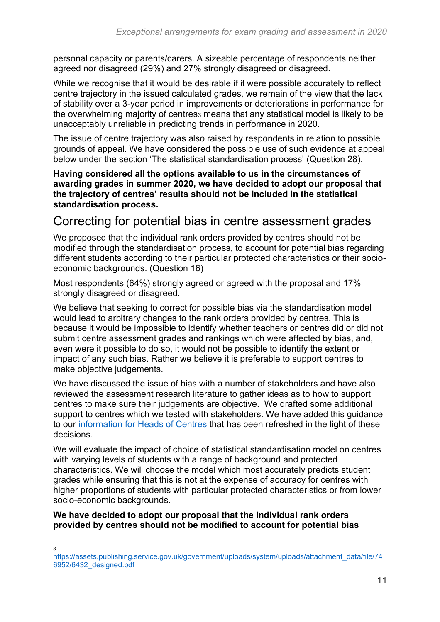personal capacity or parents/carers. A sizeable percentage of respondents neither agreed nor disagreed (29%) and 27% strongly disagreed or disagreed.

While we recognise that it would be desirable if it were possible accurately to reflect centre trajectory in the issued calculated grades, we remain of the view that the lack of stability over a 3-year period in improvements or deteriorations in performance for the overwhelming majority of centres<sub>3</sub> means that any statistical model is likely to be unacceptably unreliable in predicting trends in performance in 2020.

The issue of centre trajectory was also raised by respondents in relation to possible grounds of appeal. We have considered the possible use of such evidence at appeal below under the section 'The statistical standardisation process' (Question 28).

**Having considered all the options available to us in the circumstances of awarding grades in summer 2020, we have decided to adopt our proposal that the trajectory of centres' results should not be included in the statistical standardisation process.**

#### <span id="page-10-0"></span>Correcting for potential bias in centre assessment grades

We proposed that the individual rank orders provided by centres should not be modified through the standardisation process, to account for potential bias regarding different students according to their particular protected characteristics or their socioeconomic backgrounds. (Question 16)

Most respondents (64%) strongly agreed or agreed with the proposal and 17% strongly disagreed or disagreed.

We believe that seeking to correct for possible bias via the standardisation model would lead to arbitrary changes to the rank orders provided by centres. This is because it would be impossible to identify whether teachers or centres did or did not submit centre assessment grades and rankings which were affected by bias, and, even were it possible to do so, it would not be possible to identify the extent or impact of any such bias. Rather we believe it is preferable to support centres to make objective judgements.

We have discussed the issue of bias with a number of stakeholders and have also reviewed the assessment research literature to gather ideas as to how to support centres to make sure their judgements are objective. We drafted some additional support to centres which we tested with stakeholders. We have added this guidance to our [information for Heads of Centres](https://www.gov.uk/government/publications/awarding-qualifications-in-summer-2020) that has been refreshed in the light of these decisions.

We will evaluate the impact of choice of statistical standardisation model on centres with varying levels of students with a range of background and protected characteristics. We will choose the model which most accurately predicts student grades while ensuring that this is not at the expense of accuracy for centres with higher proportions of students with particular protected characteristics or from lower socio-economic backgrounds.

#### **We have decided to adopt our proposal that the individual rank orders provided by centres should not be modified to account for potential bias**

3

[https://assets.publishing.service.gov.uk/government/uploads/system/uploads/attachment\\_data/file/74](https://assets.publishing.service.gov.uk/government/uploads/system/uploads/attachment_data/file/746952/6432_designed.pdf) [6952/6432\\_designed.pdf](https://assets.publishing.service.gov.uk/government/uploads/system/uploads/attachment_data/file/746952/6432_designed.pdf)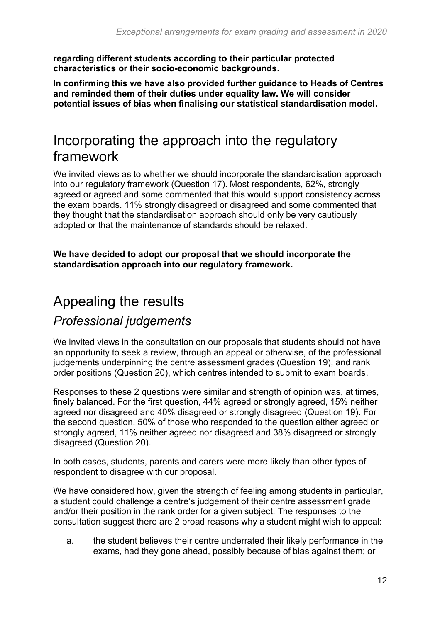**regarding different students according to their particular protected characteristics or their socio-economic backgrounds.** 

**In confirming this we have also provided further guidance to Heads of Centres and reminded them of their duties under equality law. We will consider potential issues of bias when finalising our statistical standardisation model.** 

## <span id="page-11-0"></span>Incorporating the approach into the regulatory framework

We invited views as to whether we should incorporate the standardisation approach into our regulatory framework (Question 17). Most respondents, 62%, strongly agreed or agreed and some commented that this would support consistency across the exam boards. 11% strongly disagreed or disagreed and some commented that they thought that the standardisation approach should only be very cautiously adopted or that the maintenance of standards should be relaxed.

**We have decided to adopt our proposal that we should incorporate the standardisation approach into our regulatory framework.**

## <span id="page-11-1"></span>Appealing the results

#### <span id="page-11-2"></span>*Professional judgements*

We invited views in the consultation on our proposals that students should not have an opportunity to seek a review, through an appeal or otherwise, of the professional judgements underpinning the centre assessment grades (Question 19), and rank order positions (Question 20), which centres intended to submit to exam boards.

Responses to these 2 questions were similar and strength of opinion was, at times, finely balanced. For the first question, 44% agreed or strongly agreed, 15% neither agreed nor disagreed and 40% disagreed or strongly disagreed (Question 19). For the second question, 50% of those who responded to the question either agreed or strongly agreed, 11% neither agreed nor disagreed and 38% disagreed or strongly disagreed (Question 20).

In both cases, students, parents and carers were more likely than other types of respondent to disagree with our proposal.

We have considered how, given the strength of feeling among students in particular, a student could challenge a centre's judgement of their centre assessment grade and/or their position in the rank order for a given subject. The responses to the consultation suggest there are 2 broad reasons why a student might wish to appeal:

a. the student believes their centre underrated their likely performance in the exams, had they gone ahead, possibly because of bias against them; or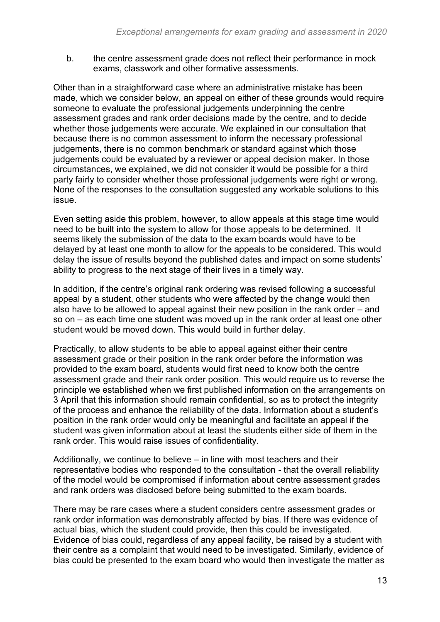b. the centre assessment grade does not reflect their performance in mock exams, classwork and other formative assessments.

Other than in a straightforward case where an administrative mistake has been made, which we consider below, an appeal on either of these grounds would require someone to evaluate the professional judgements underpinning the centre assessment grades and rank order decisions made by the centre, and to decide whether those judgements were accurate. We explained in our consultation that because there is no common assessment to inform the necessary professional judgements, there is no common benchmark or standard against which those judgements could be evaluated by a reviewer or appeal decision maker. In those circumstances, we explained, we did not consider it would be possible for a third party fairly to consider whether those professional judgements were right or wrong. None of the responses to the consultation suggested any workable solutions to this issue.

Even setting aside this problem, however, to allow appeals at this stage time would need to be built into the system to allow for those appeals to be determined. It seems likely the submission of the data to the exam boards would have to be delayed by at least one month to allow for the appeals to be considered. This would delay the issue of results beyond the published dates and impact on some students' ability to progress to the next stage of their lives in a timely way.

In addition, if the centre's original rank ordering was revised following a successful appeal by a student, other students who were affected by the change would then also have to be allowed to appeal against their new position in the rank order – and so on – as each time one student was moved up in the rank order at least one other student would be moved down. This would build in further delay.

Practically, to allow students to be able to appeal against either their centre assessment grade or their position in the rank order before the information was provided to the exam board, students would first need to know both the centre assessment grade and their rank order position. This would require us to reverse the principle we established when we first published information on the arrangements on 3 April that this information should remain confidential, so as to protect the integrity of the process and enhance the reliability of the data. Information about a student's position in the rank order would only be meaningful and facilitate an appeal if the student was given information about at least the students either side of them in the rank order. This would raise issues of confidentiality.

Additionally, we continue to believe – in line with most teachers and their representative bodies who responded to the consultation - that the overall reliability of the model would be compromised if information about centre assessment grades and rank orders was disclosed before being submitted to the exam boards.

There may be rare cases where a student considers centre assessment grades or rank order information was demonstrably affected by bias. If there was evidence of actual bias, which the student could provide, then this could be investigated. Evidence of bias could, regardless of any appeal facility, be raised by a student with their centre as a complaint that would need to be investigated. Similarly, evidence of bias could be presented to the exam board who would then investigate the matter as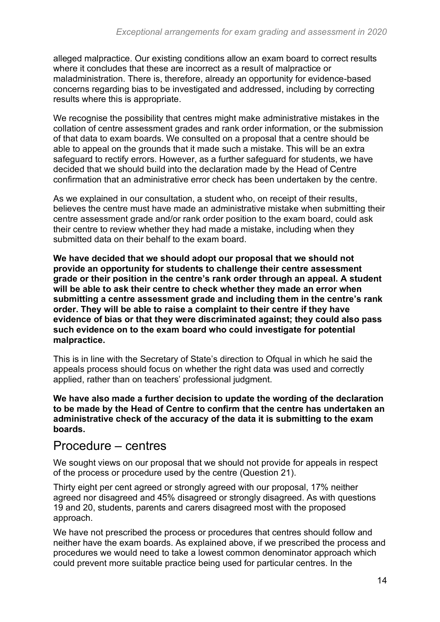alleged malpractice. Our existing conditions allow an exam board to correct results where it concludes that these are incorrect as a result of malpractice or maladministration. There is, therefore, already an opportunity for evidence-based concerns regarding bias to be investigated and addressed, including by correcting results where this is appropriate.

We recognise the possibility that centres might make administrative mistakes in the collation of centre assessment grades and rank order information, or the submission of that data to exam boards. We consulted on a proposal that a centre should be able to appeal on the grounds that it made such a mistake. This will be an extra safeguard to rectify errors. However, as a further safeguard for students, we have decided that we should build into the declaration made by the Head of Centre confirmation that an administrative error check has been undertaken by the centre.

As we explained in our consultation, a student who, on receipt of their results, believes the centre must have made an administrative mistake when submitting their centre assessment grade and/or rank order position to the exam board, could ask their centre to review whether they had made a mistake, including when they submitted data on their behalf to the exam board.

**We have decided that we should adopt our proposal that we should not provide an opportunity for students to challenge their centre assessment grade or their position in the centre's rank order through an appeal. A student will be able to ask their centre to check whether they made an error when submitting a centre assessment grade and including them in the centre's rank order. They will be able to raise a complaint to their centre if they have evidence of bias or that they were discriminated against; they could also pass such evidence on to the exam board who could investigate for potential malpractice.** 

This is in line with the Secretary of State's direction to Ofqual in which he said the appeals process should focus on whether the right data was used and correctly applied, rather than on teachers' professional judgment.

**We have also made a further decision to update the wording of the declaration to be made by the Head of Centre to confirm that the centre has undertaken an administrative check of the accuracy of the data it is submitting to the exam boards.** 

#### <span id="page-13-0"></span>Procedure – centres

We sought views on our proposal that we should not provide for appeals in respect of the process or procedure used by the centre (Question 21).

Thirty eight per cent agreed or strongly agreed with our proposal, 17% neither agreed nor disagreed and 45% disagreed or strongly disagreed. As with questions 19 and 20, students, parents and carers disagreed most with the proposed approach.

We have not prescribed the process or procedures that centres should follow and neither have the exam boards. As explained above, if we prescribed the process and procedures we would need to take a lowest common denominator approach which could prevent more suitable practice being used for particular centres. In the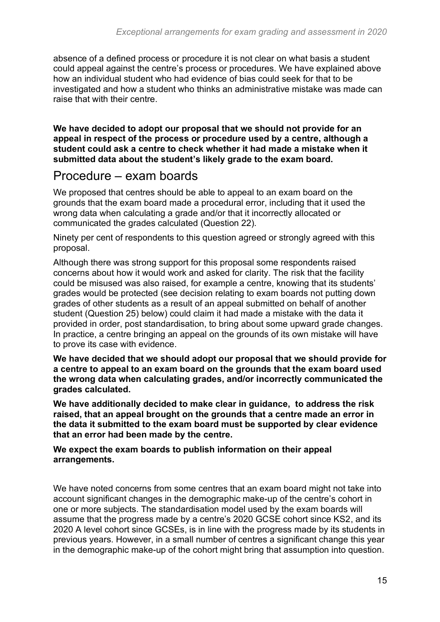absence of a defined process or procedure it is not clear on what basis a student could appeal against the centre's process or procedures. We have explained above how an individual student who had evidence of bias could seek for that to be investigated and how a student who thinks an administrative mistake was made can raise that with their centre.

**We have decided to adopt our proposal that we should not provide for an appeal in respect of the process or procedure used by a centre, although a student could ask a centre to check whether it had made a mistake when it submitted data about the student's likely grade to the exam board.** 

#### <span id="page-14-0"></span>Procedure – exam boards

We proposed that centres should be able to appeal to an exam board on the grounds that the exam board made a procedural error, including that it used the wrong data when calculating a grade and/or that it incorrectly allocated or communicated the grades calculated (Question 22)*.*

Ninety per cent of respondents to this question agreed or strongly agreed with this proposal.

Although there was strong support for this proposal some respondents raised concerns about how it would work and asked for clarity. The risk that the facility could be misused was also raised, for example a centre, knowing that its students' grades would be protected (see decision relating to exam boards not putting down grades of other students as a result of an appeal submitted on behalf of another student (Question 25) below) could claim it had made a mistake with the data it provided in order, post standardisation, to bring about some upward grade changes. In practice, a centre bringing an appeal on the grounds of its own mistake will have to prove its case with evidence.

**We have decided that we should adopt our proposal that we should provide for a centre to appeal to an exam board on the grounds that the exam board used the wrong data when calculating grades, and/or incorrectly communicated the grades calculated.**

**We have additionally decided to make clear in guidance, to address the risk raised, that an appeal brought on the grounds that a centre made an error in the data it submitted to the exam board must be supported by clear evidence that an error had been made by the centre.**

**We expect the exam boards to publish information on their appeal arrangements.** 

We have noted concerns from some centres that an exam board might not take into account significant changes in the demographic make-up of the centre's cohort in one or more subjects. The standardisation model used by the exam boards will assume that the progress made by a centre's 2020 GCSE cohort since KS2, and its 2020 A level cohort since GCSEs, is in line with the progress made by its students in previous years. However, in a small number of centres a significant change this year in the demographic make-up of the cohort might bring that assumption into question.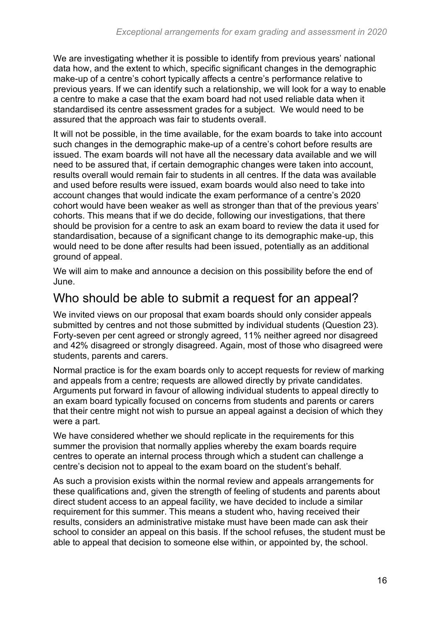We are investigating whether it is possible to identify from previous years' national data how, and the extent to which, specific significant changes in the demographic make-up of a centre's cohort typically affects a centre's performance relative to previous years. If we can identify such a relationship, we will look for a way to enable a centre to make a case that the exam board had not used reliable data when it standardised its centre assessment grades for a subject. We would need to be assured that the approach was fair to students overall.

It will not be possible, in the time available, for the exam boards to take into account such changes in the demographic make-up of a centre's cohort before results are issued. The exam boards will not have all the necessary data available and we will need to be assured that, if certain demographic changes were taken into account, results overall would remain fair to students in all centres. If the data was available and used before results were issued, exam boards would also need to take into account changes that would indicate the exam performance of a centre's 2020 cohort would have been weaker as well as stronger than that of the previous years' cohorts. This means that if we do decide, following our investigations, that there should be provision for a centre to ask an exam board to review the data it used for standardisation, because of a significant change to its demographic make-up, this would need to be done after results had been issued, potentially as an additional ground of appeal.

We will aim to make and announce a decision on this possibility before the end of June.

### <span id="page-15-0"></span>Who should be able to submit a request for an appeal?

We invited views on our proposal that exam boards should only consider appeals submitted by centres and not those submitted by individual students (Question 23)*.* Forty-seven per cent agreed or strongly agreed, 11% neither agreed nor disagreed and 42% disagreed or strongly disagreed. Again, most of those who disagreed were students, parents and carers.

Normal practice is for the exam boards only to accept requests for review of marking and appeals from a centre; requests are allowed directly by private candidates. Arguments put forward in favour of allowing individual students to appeal directly to an exam board typically focused on concerns from students and parents or carers that their centre might not wish to pursue an appeal against a decision of which they were a part.

We have considered whether we should replicate in the requirements for this summer the provision that normally applies whereby the exam boards require centres to operate an internal process through which a student can challenge a centre's decision not to appeal to the exam board on the student's behalf.

As such a provision exists within the normal review and appeals arrangements for these qualifications and, given the strength of feeling of students and parents about direct student access to an appeal facility, we have decided to include a similar requirement for this summer. This means a student who, having received their results, considers an administrative mistake must have been made can ask their school to consider an appeal on this basis. If the school refuses, the student must be able to appeal that decision to someone else within, or appointed by, the school.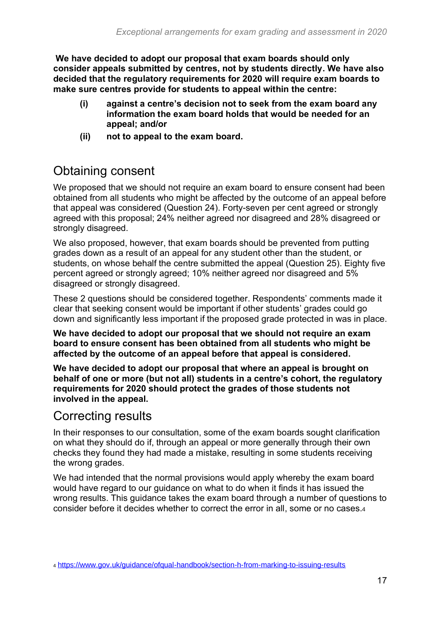**We have decided to adopt our proposal that exam boards should only consider appeals submitted by centres, not by students directly. We have also decided that the regulatory requirements for 2020 will require exam boards to make sure centres provide for students to appeal within the centre:** 

- **(i) against a centre's decision not to seek from the exam board any information the exam board holds that would be needed for an appeal; and/or**
- **(ii) not to appeal to the exam board.**

### <span id="page-16-0"></span>Obtaining consent

We proposed that we should not require an exam board to ensure consent had been obtained from all students who might be affected by the outcome of an appeal before that appeal was considered (Question 24). Forty-seven per cent agreed or strongly agreed with this proposal; 24% neither agreed nor disagreed and 28% disagreed or strongly disagreed.

We also proposed, however, that exam boards should be prevented from putting grades down as a result of an appeal for any student other than the student, or students, on whose behalf the centre submitted the appeal (Question 25). Eighty five percent agreed or strongly agreed; 10% neither agreed nor disagreed and 5% disagreed or strongly disagreed.

These 2 questions should be considered together. Respondents' comments made it clear that seeking consent would be important if other students' grades could go down and significantly less important if the proposed grade protected in was in place.

**We have decided to adopt our proposal that we should not require an exam board to ensure consent has been obtained from all students who might be affected by the outcome of an appeal before that appeal is considered.**

**We have decided to adopt our proposal that where an appeal is brought on behalf of one or more (but not all) students in a centre's cohort, the regulatory requirements for 2020 should protect the grades of those students not involved in the appeal.**

#### <span id="page-16-1"></span>Correcting results

In their responses to our consultation, some of the exam boards sought clarification on what they should do if, through an appeal or more generally through their own checks they found they had made a mistake, resulting in some students receiving the wrong grades.

We had intended that the normal provisions would apply whereby the exam board would have regard to our guidance on what to do when it finds it has issued the wrong results. This guidance takes the exam board through a number of questions to consider before it decides whether to correct the error in all, some or no cases.<sup>4</sup>

<sup>4</sup> <https://www.gov.uk/guidance/ofqual-handbook/section-h-from-marking-to-issuing-results>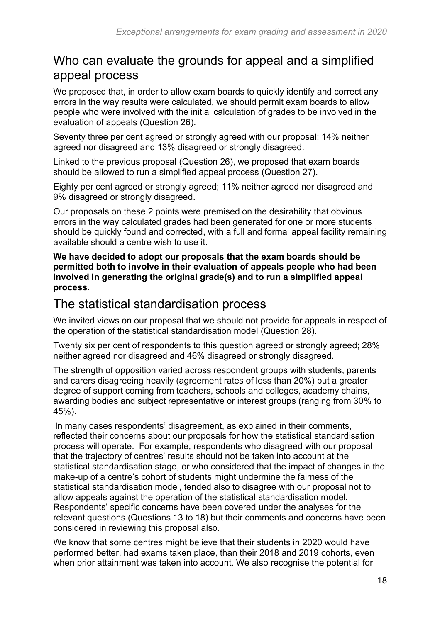#### <span id="page-17-0"></span>Who can evaluate the grounds for appeal and a simplified appeal process

We proposed that, in order to allow exam boards to quickly identify and correct any errors in the way results were calculated, we should permit exam boards to allow people who were involved with the initial calculation of grades to be involved in the evaluation of appeals (Question 26).

Seventy three per cent agreed or strongly agreed with our proposal; 14% neither agreed nor disagreed and 13% disagreed or strongly disagreed.

Linked to the previous proposal (Question 26), we proposed that exam boards should be allowed to run a simplified appeal process (Question 27).

Eighty per cent agreed or strongly agreed; 11% neither agreed nor disagreed and 9% disagreed or strongly disagreed.

Our proposals on these 2 points were premised on the desirability that obvious errors in the way calculated grades had been generated for one or more students should be quickly found and corrected, with a full and formal appeal facility remaining available should a centre wish to use it.

**We have decided to adopt our proposals that the exam boards should be permitted both to involve in their evaluation of appeals people who had been involved in generating the original grade(s) and to run a simplified appeal process.**

#### <span id="page-17-1"></span>The statistical standardisation process

We invited views on our proposal that we should not provide for appeals in respect of the operation of the statistical standardisation model (Question 28)*.*

Twenty six per cent of respondents to this question agreed or strongly agreed: 28% neither agreed nor disagreed and 46% disagreed or strongly disagreed.

The strength of opposition varied across respondent groups with students, parents and carers disagreeing heavily (agreement rates of less than 20%) but a greater degree of support coming from teachers, schools and colleges, academy chains, awarding bodies and subject representative or interest groups (ranging from 30% to 45%).

In many cases respondents' disagreement, as explained in their comments, reflected their concerns about our proposals for how the statistical standardisation process will operate. For example, respondents who disagreed with our proposal that the trajectory of centres' results should not be taken into account at the statistical standardisation stage, or who considered that the impact of changes in the make-up of a centre's cohort of students might undermine the fairness of the statistical standardisation model, tended also to disagree with our proposal not to allow appeals against the operation of the statistical standardisation model. Respondents' specific concerns have been covered under the analyses for the relevant questions (Questions 13 to 18) but their comments and concerns have been considered in reviewing this proposal also.

We know that some centres might believe that their students in 2020 would have performed better, had exams taken place, than their 2018 and 2019 cohorts, even when prior attainment was taken into account. We also recognise the potential for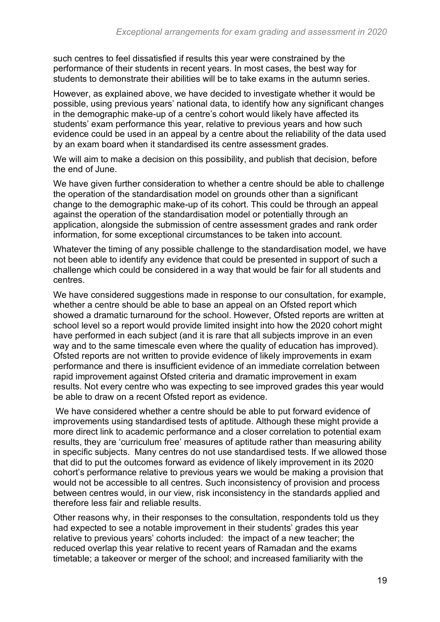such centres to feel dissatisfied if results this year were constrained by the performance of their students in recent years. In most cases, the best way for students to demonstrate their abilities will be to take exams in the autumn series.

However, as explained above, we have decided to investigate whether it would be possible, using previous years' national data, to identify how any significant changes in the demographic make-up of a centre's cohort would likely have affected its students' exam performance this year, relative to previous years and how such evidence could be used in an appeal by a centre about the reliability of the data used by an exam board when it standardised its centre assessment grades.

We will aim to make a decision on this possibility, and publish that decision, before the end of June.

We have given further consideration to whether a centre should be able to challenge the operation of the standardisation model on grounds other than a significant change to the demographic make-up of its cohort. This could be through an appeal against the operation of the standardisation model or potentially through an application, alongside the submission of centre assessment grades and rank order information, for some exceptional circumstances to be taken into account.

Whatever the timing of any possible challenge to the standardisation model, we have not been able to identify any evidence that could be presented in support of such a challenge which could be considered in a way that would be fair for all students and centres.

We have considered suggestions made in response to our consultation, for example, whether a centre should be able to base an appeal on an Ofsted report which showed a dramatic turnaround for the school. However, Ofsted reports are written at school level so a report would provide limited insight into how the 2020 cohort might have performed in each subject (and it is rare that all subjects improve in an even way and to the same timescale even where the quality of education has improved). Ofsted reports are not written to provide evidence of likely improvements in exam performance and there is insufficient evidence of an immediate correlation between rapid improvement against Ofsted criteria and dramatic improvement in exam results. Not every centre who was expecting to see improved grades this year would be able to draw on a recent Ofsted report as evidence.

We have considered whether a centre should be able to put forward evidence of improvements using standardised tests of aptitude. Although these might provide a more direct link to academic performance and a closer correlation to potential exam results, they are 'curriculum free' measures of aptitude rather than measuring ability in specific subjects. Many centres do not use standardised tests. If we allowed those that did to put the outcomes forward as evidence of likely improvement in its 2020 cohort's performance relative to previous years we would be making a provision that would not be accessible to all centres. Such inconsistency of provision and process between centres would, in our view, risk inconsistency in the standards applied and therefore less fair and reliable results.

Other reasons why, in their responses to the consultation, respondents told us they had expected to see a notable improvement in their students' grades this year relative to previous years' cohorts included: the impact of a new teacher; the reduced overlap this year relative to recent years of Ramadan and the exams timetable; a takeover or merger of the school; and increased familiarity with the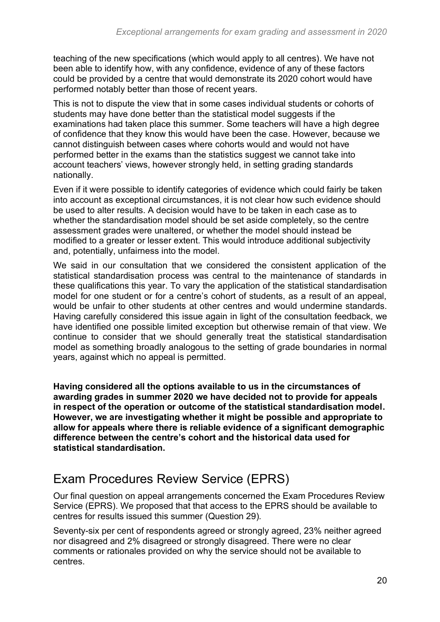teaching of the new specifications (which would apply to all centres). We have not been able to identify how, with any confidence, evidence of any of these factors could be provided by a centre that would demonstrate its 2020 cohort would have performed notably better than those of recent years.

This is not to dispute the view that in some cases individual students or cohorts of students may have done better than the statistical model suggests if the examinations had taken place this summer. Some teachers will have a high degree of confidence that they know this would have been the case. However, because we cannot distinguish between cases where cohorts would and would not have performed better in the exams than the statistics suggest we cannot take into account teachers' views, however strongly held, in setting grading standards nationally.

Even if it were possible to identify categories of evidence which could fairly be taken into account as exceptional circumstances, it is not clear how such evidence should be used to alter results. A decision would have to be taken in each case as to whether the standardisation model should be set aside completely, so the centre assessment grades were unaltered, or whether the model should instead be modified to a greater or lesser extent. This would introduce additional subjectivity and, potentially, unfairness into the model.

We said in our consultation that we considered the consistent application of the statistical standardisation process was central to the maintenance of standards in these qualifications this year. To vary the application of the statistical standardisation model for one student or for a centre's cohort of students, as a result of an appeal, would be unfair to other students at other centres and would undermine standards. Having carefully considered this issue again in light of the consultation feedback, we have identified one possible limited exception but otherwise remain of that view. We continue to consider that we should generally treat the statistical standardisation model as something broadly analogous to the setting of grade boundaries in normal years, against which no appeal is permitted.

**Having considered all the options available to us in the circumstances of awarding grades in summer 2020 we have decided not to provide for appeals in respect of the operation or outcome of the statistical standardisation model. However, we are investigating whether it might be possible and appropriate to allow for appeals where there is reliable evidence of a significant demographic difference between the centre's cohort and the historical data used for statistical standardisation.**

### <span id="page-19-0"></span>Exam Procedures Review Service (EPRS)

Our final question on appeal arrangements concerned the Exam Procedures Review Service (EPRS). We proposed that that access to the EPRS should be available to centres for results issued this summer (Question 29)*.*

Seventy-six per cent of respondents agreed or strongly agreed, 23% neither agreed nor disagreed and 2% disagreed or strongly disagreed. There were no clear comments or rationales provided on why the service should not be available to centres.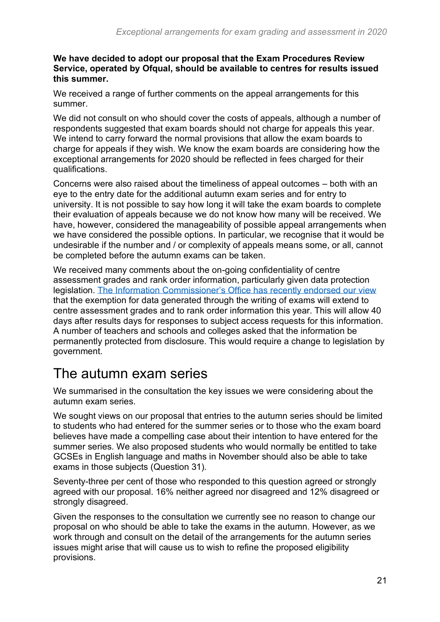#### **We have decided to adopt our proposal that the Exam Procedures Review Service, operated by Ofqual, should be available to centres for results issued this summer.**

We received a range of further comments on the appeal arrangements for this summer.

We did not consult on who should cover the costs of appeals, although a number of respondents suggested that exam boards should not charge for appeals this year. We intend to carry forward the normal provisions that allow the exam boards to charge for appeals if they wish. We know the exam boards are considering how the exceptional arrangements for 2020 should be reflected in fees charged for their qualifications.

Concerns were also raised about the timeliness of appeal outcomes – both with an eye to the entry date for the additional autumn exam series and for entry to university. It is not possible to say how long it will take the exam boards to complete their evaluation of appeals because we do not know how many will be received. We have, however, considered the manageability of possible appeal arrangements when we have considered the possible options. In particular, we recognise that it would be undesirable if the number and / or complexity of appeals means some, or all, cannot be completed before the autumn exams can be taken.

We received many comments about the on-going confidentiality of centre assessment grades and rank order information, particularly given data protection legislation. [The Information Commissioner's Office has recently endorsed our view](https://ico.org.uk/global/data-protection-and-coronavirus-information-hub/exam-script-exemption/) that the exemption for data generated through the writing of exams will extend to centre assessment grades and to rank order information this year. This will allow 40 days after results days for responses to subject access requests for this information. A number of teachers and schools and colleges asked that the information be permanently protected from disclosure. This would require a change to legislation by government.

## <span id="page-20-0"></span>The autumn exam series

We summarised in the consultation the key issues we were considering about the autumn exam series.

We sought views on our proposal that entries to the autumn series should be limited to students who had entered for the summer series or to those who the exam board believes have made a compelling case about their intention to have entered for the summer series*.* We also proposed students who would normally be entitled to take GCSEs in English language and maths in November should also be able to take exams in those subjects (Question 31)*.*

Seventy-three per cent of those who responded to this question agreed or strongly agreed with our proposal. 16% neither agreed nor disagreed and 12% disagreed or strongly disagreed.

Given the responses to the consultation we currently see no reason to change our proposal on who should be able to take the exams in the autumn. However, as we work through and consult on the detail of the arrangements for the autumn series issues might arise that will cause us to wish to refine the proposed eligibility provisions.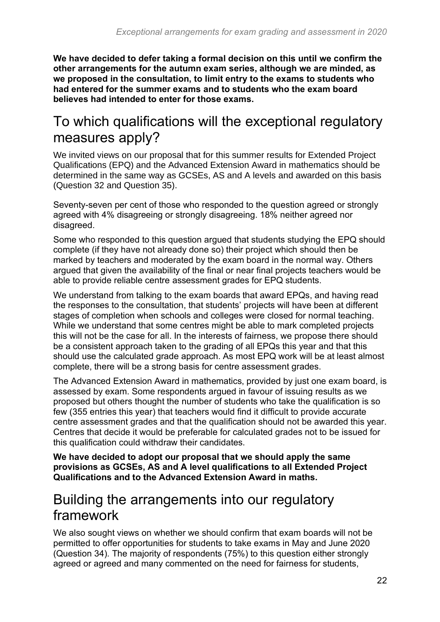**We have decided to defer taking a formal decision on this until we confirm the other arrangements for the autumn exam series, although we are minded, as we proposed in the consultation, to limit entry to the exams to students who had entered for the summer exams and to students who the exam board believes had intended to enter for those exams.** 

### <span id="page-21-0"></span>To which qualifications will the exceptional regulatory measures apply?

We invited views on our proposal that for this summer results for Extended Project Qualifications (EPQ) and the Advanced Extension Award in mathematics should be determined in the same way as GCSEs, AS and A levels and awarded on this basis (Question 32 and Question 35).

Seventy-seven per cent of those who responded to the question agreed or strongly agreed with 4% disagreeing or strongly disagreeing. 18% neither agreed nor disagreed.

Some who responded to this question argued that students studying the EPQ should complete (if they have not already done so) their project which should then be marked by teachers and moderated by the exam board in the normal way. Others argued that given the availability of the final or near final projects teachers would be able to provide reliable centre assessment grades for EPQ students.

We understand from talking to the exam boards that award EPQs, and having read the responses to the consultation, that students' projects will have been at different stages of completion when schools and colleges were closed for normal teaching. While we understand that some centres might be able to mark completed projects this will not be the case for all. In the interests of fairness, we propose there should be a consistent approach taken to the grading of all EPQs this year and that this should use the calculated grade approach. As most EPQ work will be at least almost complete, there will be a strong basis for centre assessment grades.

The Advanced Extension Award in mathematics, provided by just one exam board, is assessed by exam. Some respondents argued in favour of issuing results as we proposed but others thought the number of students who take the qualification is so few (355 entries this year) that teachers would find it difficult to provide accurate centre assessment grades and that the qualification should not be awarded this year. Centres that decide it would be preferable for calculated grades not to be issued for this qualification could withdraw their candidates.

**We have decided to adopt our proposal that we should apply the same provisions as GCSEs, AS and A level qualifications to all Extended Project Qualifications and to the Advanced Extension Award in maths.**

### <span id="page-21-1"></span>Building the arrangements into our regulatory framework

We also sought views on whether we should confirm that exam boards will not be permitted to offer opportunities for students to take exams in May and June 2020 (Question 34)*.* The majority of respondents (75%) to this question either strongly agreed or agreed and many commented on the need for fairness for students,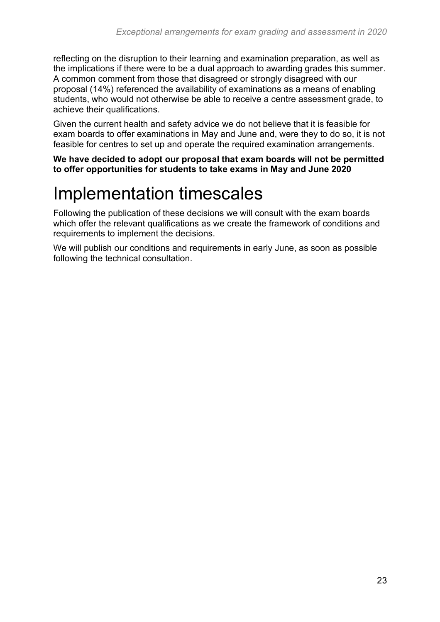reflecting on the disruption to their learning and examination preparation, as well as the implications if there were to be a dual approach to awarding grades this summer. A common comment from those that disagreed or strongly disagreed with our proposal (14%) referenced the availability of examinations as a means of enabling students, who would not otherwise be able to receive a centre assessment grade, to achieve their qualifications.

Given the current health and safety advice we do not believe that it is feasible for exam boards to offer examinations in May and June and, were they to do so, it is not feasible for centres to set up and operate the required examination arrangements.

**We have decided to adopt our proposal that exam boards will not be permitted to offer opportunities for students to take exams in May and June 2020**

## <span id="page-22-0"></span>Implementation timescales

Following the publication of these decisions we will consult with the exam boards which offer the relevant qualifications as we create the framework of conditions and requirements to implement the decisions.

We will publish our conditions and requirements in early June, as soon as possible following the technical consultation.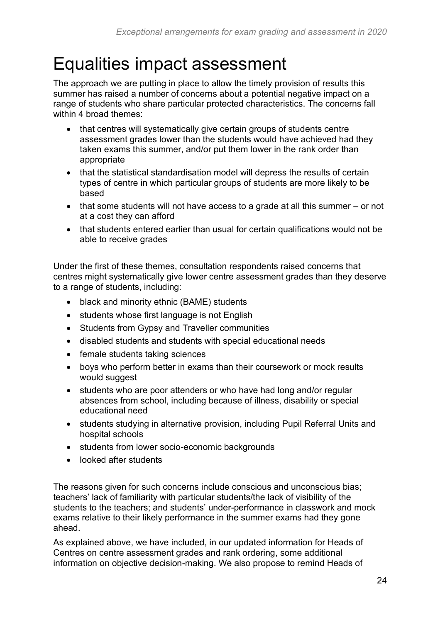## <span id="page-23-0"></span>Equalities impact assessment

The approach we are putting in place to allow the timely provision of results this summer has raised a number of concerns about a potential negative impact on a range of students who share particular protected characteristics. The concerns fall within 4 broad themes:

- that centres will systematically give certain groups of students centre assessment grades lower than the students would have achieved had they taken exams this summer, and/or put them lower in the rank order than appropriate
- that the statistical standardisation model will depress the results of certain types of centre in which particular groups of students are more likely to be based
- that some students will not have access to a grade at all this summer or not at a cost they can afford
- that students entered earlier than usual for certain qualifications would not be able to receive grades

Under the first of these themes, consultation respondents raised concerns that centres might systematically give lower centre assessment grades than they deserve to a range of students, including:

- black and minority ethnic (BAME) students
- students whose first language is not English
- Students from Gypsy and Traveller communities
- disabled students and students with special educational needs
- female students taking sciences
- boys who perform better in exams than their coursework or mock results would suggest
- students who are poor attenders or who have had long and/or regular absences from school, including because of illness, disability or special educational need
- students studying in alternative provision, including Pupil Referral Units and hospital schools
- students from lower socio-economic backgrounds
- looked after students

The reasons given for such concerns include conscious and unconscious bias; teachers' lack of familiarity with particular students/the lack of visibility of the students to the teachers; and students' under-performance in classwork and mock exams relative to their likely performance in the summer exams had they gone ahead.

As explained above, we have included, in our updated information for Heads of Centres on centre assessment grades and rank ordering, some additional information on objective decision-making. We also propose to remind Heads of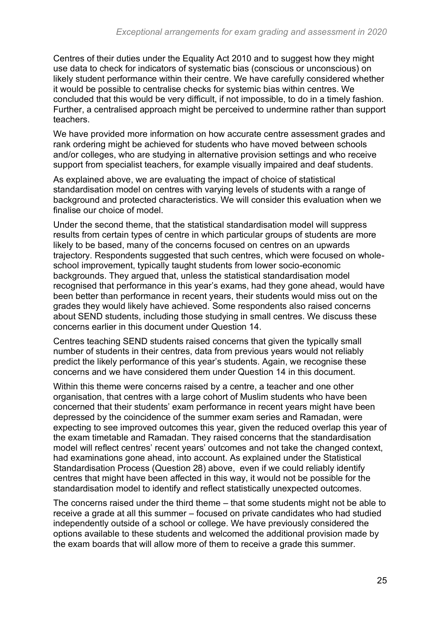Centres of their duties under the Equality Act 2010 and to suggest how they might use data to check for indicators of systematic bias (conscious or unconscious) on likely student performance within their centre. We have carefully considered whether it would be possible to centralise checks for systemic bias within centres. We concluded that this would be very difficult, if not impossible, to do in a timely fashion. Further, a centralised approach might be perceived to undermine rather than support teachers.

We have provided more information on how accurate centre assessment grades and rank ordering might be achieved for students who have moved between schools and/or colleges, who are studying in alternative provision settings and who receive support from specialist teachers, for example visually impaired and deaf students.

As explained above, we are evaluating the impact of choice of statistical standardisation model on centres with varying levels of students with a range of background and protected characteristics. We will consider this evaluation when we finalise our choice of model.

Under the second theme, that the statistical standardisation model will suppress results from certain types of centre in which particular groups of students are more likely to be based, many of the concerns focused on centres on an upwards trajectory. Respondents suggested that such centres, which were focused on wholeschool improvement, typically taught students from lower socio-economic backgrounds. They argued that, unless the statistical standardisation model recognised that performance in this year's exams, had they gone ahead, would have been better than performance in recent years, their students would miss out on the grades they would likely have achieved. Some respondents also raised concerns about SEND students, including those studying in small centres. We discuss these concerns earlier in this document under Question 14.

Centres teaching SEND students raised concerns that given the typically small number of students in their centres, data from previous years would not reliably predict the likely performance of this year's students. Again, we recognise these concerns and we have considered them under Question 14 in this document.

Within this theme were concerns raised by a centre, a teacher and one other organisation, that centres with a large cohort of Muslim students who have been concerned that their students' exam performance in recent years might have been depressed by the coincidence of the summer exam series and Ramadan, were expecting to see improved outcomes this year, given the reduced overlap this year of the exam timetable and Ramadan. They raised concerns that the standardisation model will reflect centres' recent years' outcomes and not take the changed context, had examinations gone ahead, into account. As explained under the Statistical Standardisation Process (Question 28) above, even if we could reliably identify centres that might have been affected in this way, it would not be possible for the standardisation model to identify and reflect statistically unexpected outcomes.

The concerns raised under the third theme – that some students might not be able to receive a grade at all this summer – focused on private candidates who had studied independently outside of a school or college. We have previously considered the options available to these students and welcomed the additional provision made by the exam boards that will allow more of them to receive a grade this summer.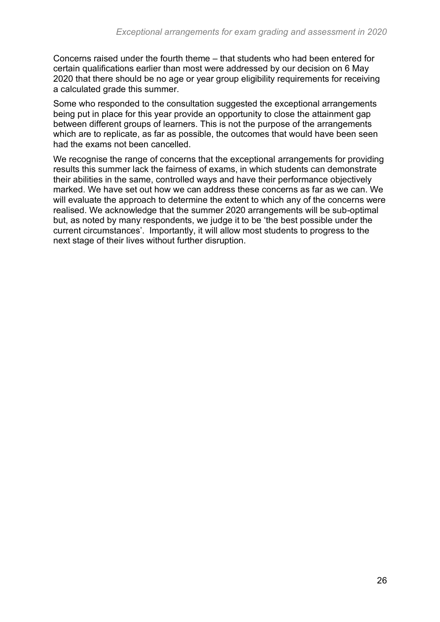Concerns raised under the fourth theme – that students who had been entered for certain qualifications earlier than most were addressed by our decision on 6 May 2020 that there should be no age or year group eligibility requirements for receiving a calculated grade this summer.

Some who responded to the consultation suggested the exceptional arrangements being put in place for this year provide an opportunity to close the attainment gap between different groups of learners. This is not the purpose of the arrangements which are to replicate, as far as possible, the outcomes that would have been seen had the exams not been cancelled.

We recognise the range of concerns that the exceptional arrangements for providing results this summer lack the fairness of exams, in which students can demonstrate their abilities in the same, controlled ways and have their performance objectively marked. We have set out how we can address these concerns as far as we can. We will evaluate the approach to determine the extent to which any of the concerns were realised. We acknowledge that the summer 2020 arrangements will be sub-optimal but, as noted by many respondents, we judge it to be 'the best possible under the current circumstances'. Importantly, it will allow most students to progress to the next stage of their lives without further disruption.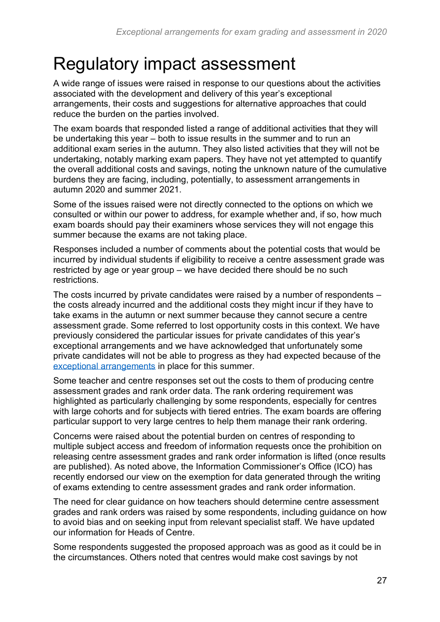## <span id="page-26-0"></span>Regulatory impact assessment

A wide range of issues were raised in response to our questions about the activities associated with the development and delivery of this year's exceptional arrangements, their costs and suggestions for alternative approaches that could reduce the burden on the parties involved.

The exam boards that responded listed a range of additional activities that they will be undertaking this year – both to issue results in the summer and to run an additional exam series in the autumn. They also listed activities that they will not be undertaking, notably marking exam papers. They have not yet attempted to quantify the overall additional costs and savings, noting the unknown nature of the cumulative burdens they are facing, including, potentially, to assessment arrangements in autumn 2020 and summer 2021.

Some of the issues raised were not directly connected to the options on which we consulted or within our power to address, for example whether and, if so, how much exam boards should pay their examiners whose services they will not engage this summer because the exams are not taking place.

Responses included a number of comments about the potential costs that would be incurred by individual students if eligibility to receive a centre assessment grade was restricted by age or year group – we have decided there should be no such restrictions.

The costs incurred by private candidates were raised by a number of respondents – the costs already incurred and the additional costs they might incur if they have to take exams in the autumn or next summer because they cannot secure a centre assessment grade. Some referred to lost opportunity costs in this context. We have previously considered the particular issues for private candidates of this year's exceptional arrangements and we have acknowledged that unfortunately some private candidates will not be able to progress as they had expected because of the [exceptional arrangements](https://www.gov.uk/government/publications/awarding-qualifications-in-summer-2020) in place for this summer.

Some teacher and centre responses set out the costs to them of producing centre assessment grades and rank order data. The rank ordering requirement was highlighted as particularly challenging by some respondents, especially for centres with large cohorts and for subjects with tiered entries. The exam boards are offering particular support to very large centres to help them manage their rank ordering.

Concerns were raised about the potential burden on centres of responding to multiple subject access and freedom of information requests once the prohibition on releasing centre assessment grades and rank order information is lifted (once results are published). As noted above, the Information Commissioner's Office (ICO) has recently endorsed our view on the exemption for data generated through the writing of exams extending to centre assessment grades and rank order information.

The need for clear guidance on how teachers should determine centre assessment grades and rank orders was raised by some respondents, including guidance on how to avoid bias and on seeking input from relevant specialist staff. We have updated our information for Heads of Centre.

Some respondents suggested the proposed approach was as good as it could be in the circumstances. Others noted that centres would make cost savings by not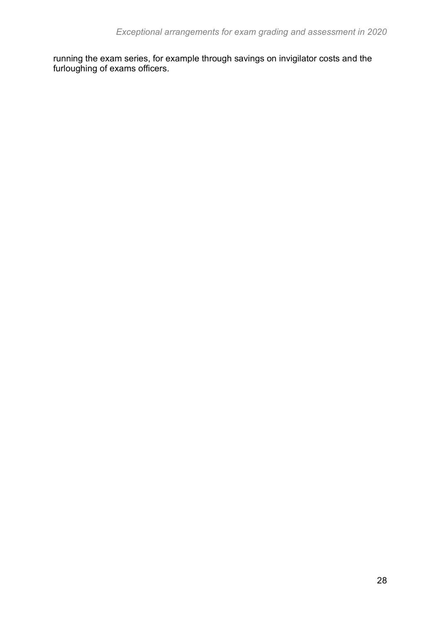running the exam series, for example through savings on invigilator costs and the furloughing of exams officers.